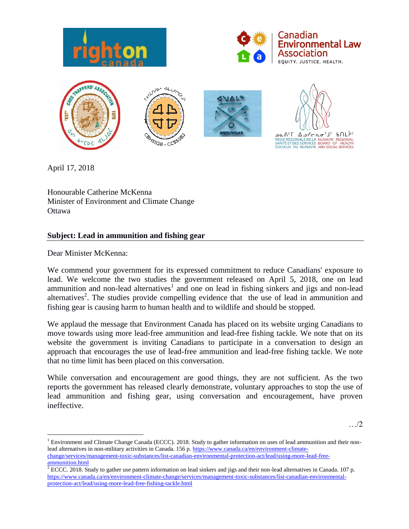





April 17, 2018

Honourable Catherine McKenna Minister of Environment and Climate Change **Ottawa** 

## **Subject: Lead in ammunition and fishing gear**

Dear Minister McKenna:

 $\overline{a}$ 

We commend your government for its expressed commitment to reduce Canadians' exposure to lead. We welcome the two studies the government released on April 5, 2018, one on lead ammunition and non-lead alternatives<sup>1</sup> and one on lead in fishing sinkers and jigs and non-lead alternatives<sup>2</sup>. The studies provide compelling evidence that the use of lead in ammunition and fishing gear is causing harm to human health and to wildlife and should be stopped.

We applaud the message that Environment Canada has placed on its website urging Canadians to move towards using more lead-free ammunition and lead-free fishing tackle. We note that on its website the government is inviting Canadians to participate in a conversation to design an approach that encourages the use of lead-free ammunition and lead-free fishing tackle. We note that no time limit has been placed on this conversation.

While conversation and encouragement are good things, they are not sufficient. As the two reports the government has released clearly demonstrate, voluntary approaches to stop the use of lead ammunition and fishing gear, using conversation and encouragement, have proven ineffective.

…/2

<sup>&</sup>lt;sup>1</sup> Environment and Climate Change Canada (ECCC). 2018. Study to gather information on uses of lead ammunition and their non-lead alternatives in non-military activities in Canada. 156 p[. https://www.canada.ca/en/environment-climate](https://www.canada.ca/en/environment-climate-change/services/management-toxic-substances/list-canadian-environmental-protection-act/lead/using-more-lead-free-ammunition.html)[change/services/management-toxic-substances/list-canadian-environmental-protection-act/lead/using-more-lead-free-](https://www.canada.ca/en/environment-climate-change/services/management-toxic-substances/list-canadian-environmental-protection-act/lead/using-more-lead-free-ammunition.html) $\frac{\frac{1}{2} \frac{\text{SUSY } \text{NUCS}}{n}}{\frac{2}{2} \frac{\text{NUCS}}{n}}$ 

<sup>2</sup> ECCC. 2018. Study to gather use pattern information on lead sinkers and jigs and their non-lead alternatives in Canada. 107 p. [https://www.canada.ca/en/environment-climate-change/services/management-toxic-substances/list-canadian-environmental](https://www.canada.ca/en/environment-climate-change/services/management-toxic-substances/list-canadian-environmental-protection-act/lead/using-more-lead-free-fishing-tackle.html)[protection-act/lead/using-more-lead-free-fishing-tackle.html](https://www.canada.ca/en/environment-climate-change/services/management-toxic-substances/list-canadian-environmental-protection-act/lead/using-more-lead-free-fishing-tackle.html)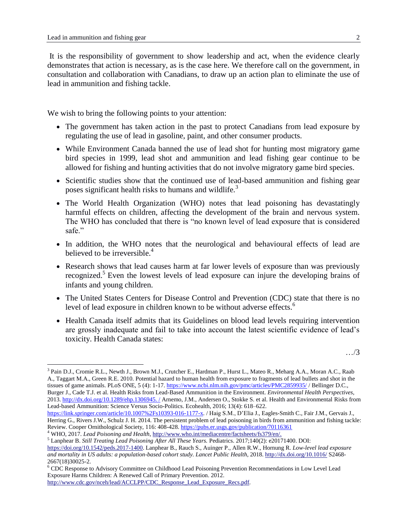$\overline{a}$ 

It is the responsibility of government to show leadership and act, when the evidence clearly demonstrates that action is necessary, as is the case here. We therefore call on the government, in consultation and collaboration with Canadians, to draw up an action plan to eliminate the use of lead in ammunition and fishing tackle.

We wish to bring the following points to your attention:

- The government has taken action in the past to protect Canadians from lead exposure by regulating the use of lead in gasoline, paint, and other consumer products.
- While Environment Canada banned the use of lead shot for hunting most migratory game bird species in 1999, lead shot and ammunition and lead fishing gear continue to be allowed for fishing and hunting activities that do not involve migratory game bird species.
- Scientific studies show that the continued use of lead-based ammunition and fishing gear poses significant health risks to humans and wildlife.<sup>3</sup>
- The World Health Organization (WHO) notes that lead poisoning has devastatingly harmful effects on children, affecting the development of the brain and nervous system. The WHO has concluded that there is "no known level of lead exposure that is considered safe."
- In addition, the WHO notes that the neurological and behavioural effects of lead are believed to be irreversible.<sup>4</sup>
- Research shows that lead causes harm at far lower levels of exposure than was previously recognized.<sup>5</sup> Even the lowest levels of lead exposure can injure the developing brains of infants and young children.
- The United States Centers for Disease Control and Prevention (CDC) state that there is no level of lead exposure in children known to be without adverse effects.<sup>6</sup>
- Health Canada itself admits that its Guidelines on blood lead levels requiring intervention are grossly inadequate and fail to take into account the latest scientific evidence of lead's toxicity. Health Canada states:

…/3

3 Pain D.J., Cromie R.L., Newth J., Brown M.J., Crutcher E., Hardman P., Hurst L., Mateo R., Meharg A.A., Moran A.C., Raab A., Taggart M.A., Green R.E. 2010. Potential hazard to human health from exposure to fragments of lead bullets and shot in the tissues of game animals. PLoS ONE, 5 (4): 1-17[. https://www.ncbi.nlm.nih.gov/pmc/articles/PMC2859935/](https://www.ncbi.nlm.nih.gov/pmc/articles/PMC2859935/) / Bellinger D.C., Burger J., Cade T.J. et al. Health Risks from Lead-Based Ammunition in the Environment. *Environmental Health Perspectives*, 2013[. http://dx.doi.org/10.1289/ehp.1306945. /](http://dx.doi.org/10.1289/ehp.1306945.%20/) Arnemo, J.M., Andersen O., Stokke S. et al. Health and Environmental Risks from Lead-based Ammunition: Science Versus Socio-Politics. Ecohealth, 2016; 13(4): 618–622.

[https://link.springer.com/article/10.1007%2Fs10393-016-1177-x.](https://link.springer.com/article/10.1007%2Fs10393-016-1177-x) / Haig S.M., D'Elia J., Eagles-Smith C., Fair J.M., Gervais J., Herring G., Rivers J.W., Schulz J. H. 2014. The persistent problem of lead poisoning in birds from ammunition and fishing tackle: Review. Cooper Ornithological Society, 116: 408-428[. https://pubs.er.usgs.gov/publication/70116361](https://pubs.er.usgs.gov/publication/70116361)

<sup>4</sup> WHO, 2017. *Lead Poisoning and Health*[, http://www.who.int/mediacentre/factsheets/fs379/en/.](http://www.who.int/mediacentre/factsheets/fs379/en/) <sup>5</sup> Lanphear B. *Still Treating Lead Poisoning After All These Years.* Pediatrics. 2017;140(2): e20171400. DOI:

[https://doi.org/10.1542/peds.2017-1400.](https://doi.org/10.1542/peds.2017-1400) Lanphear B., Rauch S., Auinger P., Allen R.W., Hornung R. *Low-level lead exposure and mortality in US adults: a population-based cohort study. Lancet Public Health*, 2018.<http://dx.doi.org/10.1016/> S2468- 2667(18)30025-2.

<sup>6</sup> CDC Response to Advisory Committee on Childhood Lead Poisoning Prevention Recommendations in Low Level Lead Exposure Harms Children: A Renewed Call of Primary Prevention. 2012.

[http://www.cdc.gov/nceh/lead/ACCLPP/CDC\\_Response\\_Lead\\_Exposure\\_Recs.pdf.](http://www.cdc.gov/nceh/lead/ACCLPP/CDC_Response_Lead_Exposure_Recs.pdf)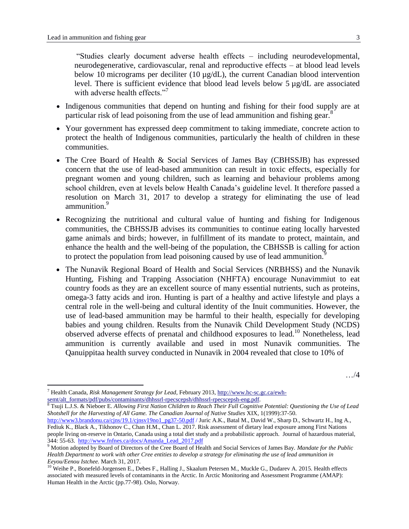$\overline{a}$ 

"Studies clearly document adverse health effects – including neurodevelopmental, neurodegenerative, cardiovascular, renal and reproductive effects – at blood lead levels below 10 micrograms per deciliter (10 µg/dL), the current Canadian blood intervention level. There is sufficient evidence that blood lead levels below 5 µg/dL are associated with adverse health effects."<sup>7</sup>

- Indigenous communities that depend on hunting and fishing for their food supply are at particular risk of lead poisoning from the use of lead ammunition and fishing gear. $8$
- Your government has expressed deep commitment to taking immediate, concrete action to protect the health of Indigenous communities, particularly the health of children in these communities.
- The Cree Board of Health & Social Services of James Bay (CBHSSJB) has expressed concern that the use of lead-based ammunition can result in toxic effects, especially for pregnant women and young children, such as learning and behaviour problems among school children, even at levels below Health Canada's guideline level. It therefore passed a resolution on March 31, 2017 to develop a strategy for eliminating the use of lead ammunition.<sup>9</sup>
- Recognizing the nutritional and cultural value of hunting and fishing for Indigenous communities, the CBHSSJB advises its communities to continue eating locally harvested game animals and birds; however, in fulfillment of its mandate to protect, maintain, and enhance the health and the well-being of the population, the CBHSSB is calling for action to protect the population from lead poisoning caused by use of lead ammunition.<sup>9</sup>
- The Nunavik Regional Board of Health and Social Services (NRBHSS) and the Nunavik Hunting, Fishing and Trapping Association (NHFTA) encourage Nunavimmiut to eat country foods as they are an excellent source of many essential nutrients, such as proteins, omega-3 fatty acids and iron. Hunting is part of a healthy and active lifestyle and plays a central role in the well-being and cultural identity of the Inuit communities. However, the use of lead-based ammunition may be harmful to their health, especially for developing babies and young children. Results from the Nunavik Child Development Study (NCDS) observed adverse effects of prenatal and childhood exposures to lead.<sup>10</sup> Nonetheless, lead ammunition is currently available and used in most Nunavik communities. The Qanuippitaa health survey conducted in Nunavik in 2004 revealed that close to 10% of

<sup>8</sup> Tsuji L.J.S. & Nieboer E. *Allowing First Nation Children to Reach Their Full Cognitive Potential: Questioning the Use of Lead Shotshell for the Harvesting of All Game. The Canadian Journal of Native Studies* XIX, 1(1999):37-50.

[http://www3.brandonu.ca/cjns/19.1/cjnsv19no1\\_pg37-50.pdf](http://www3.brandonu.ca/cjns/19.1/cjnsv19no1_pg37-50.pdf%20/) / Juric A.K., Batal M., David W., Sharp D., Schwartz H., Ing A., Fediuk K., Black A., Tikhonov C., Chan H.M., Chan L. 2017. Risk assessment of dietary lead exposure among First Nations people living on-reserve in Ontario, Canada using a total diet study and a probabilistic approach. Journal of hazardous material, 344: 55-63. [http://www.fnfnes.ca/docs/Amanda\\_Lead\\_2017.pdf](http://www.fnfnes.ca/docs/Amanda_Lead_2017.pdf)

<sup>7</sup> Health Canada, *Risk Management Strategy for Lead*, February 2013[, http://www.hc-sc.gc.ca/ewh](http://www.hc-sc.gc.ca/ewh-semt/alt_formats/pdf/pubs/contaminants/dhhssrl-rpecscepsh/dhhssrl-rpecscepsh-eng.pdf)[semt/alt\\_formats/pdf/pubs/contaminants/dhhssrl-rpecscepsh/dhhssrl-rpecscepsh-eng.pdf.](http://www.hc-sc.gc.ca/ewh-semt/alt_formats/pdf/pubs/contaminants/dhhssrl-rpecscepsh/dhhssrl-rpecscepsh-eng.pdf)

<sup>9</sup> Motion adopted by Board of Directors of the Cree Board of Health and Social Services of James Bay. *Mandate for the Public Health Department to work with other Cree entities to develop a strategy for eliminating the use of lead ammunition in Eeyou/Eenou Istchee.* March 31, 2017.

<sup>&</sup>lt;sup>10</sup> Weihe P., Bonefeld-Jorgensen E., Debes F., Halling J., Skaalum Petersen M., Muckle G., Dudarev A. 2015. Health effects associated with measured levels of contaminants in the Arctic. In Arctic Monitoring and Assessment Programme (AMAP): Human Health in the Arctic (pp.77-98). Oslo, Norway.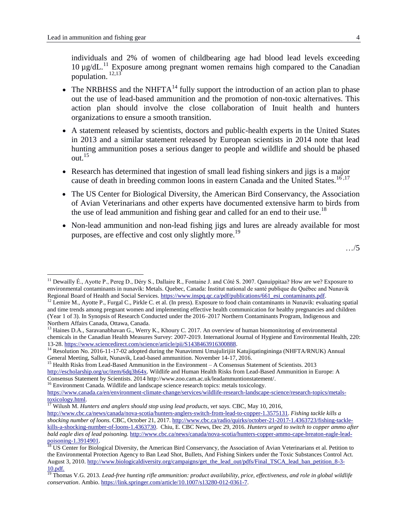$\overline{a}$ 

individuals and 2% of women of childbearing age had blood lead levels exceeding 10 µg/dL.<sup>11</sup> Exposure among pregnant women remains high compared to the Canadian population.  $12,13$ 

- The NRBHSS and the NHFTA<sup>14</sup> fully support the introduction of an action plan to phase out the use of lead-based ammunition and the promotion of non-toxic alternatives. This action plan should involve the close collaboration of Inuit health and hunters organizations to ensure a smooth transition.
- A statement released by scientists, doctors and public-health experts in the United States in 2013 and a similar statement released by European scientists in 2014 note that lead hunting ammunition poses a serious danger to people and wildlife and should be phased out. $15$
- Research has determined that ingestion of small lead fishing sinkers and jigs is a major cause of death in breeding common loons in eastern Canada and the United States.<sup>16,17</sup>
- The US Center for Biological Diversity, the American Bird Conservancy, the Association of Avian Veterinarians and other experts have documented extensive harm to birds from the use of lead ammunition and fishing gear and called for an end to their use.<sup>18</sup>
- Non-lead ammunition and non-lead fishing jigs and lures are already available for most purposes, are effective and cost only slightly more.<sup>19</sup>

…/5

<sup>16</sup> Environment Canada. Wildlife and landscape science research topics: metals toxicology.

<sup>&</sup>lt;sup>11</sup> Dewailly É., Ayotte P., Pereg D., Déry S., Dallaire R., Fontaine J. and Côté S. 2007. Qanuippitaa? How are we? Exposure to environmental contaminants in nunavik: Metals. Quebec, Canada: Institut national de santé publique du Québec and Nunavik Regional Board of Health and Social Services. [https://www.inspq.qc.ca/pdf/publications/661\\_esi\\_contaminants.pdf.](https://www.inspq.qc.ca/pdf/publications/661_esi_contaminants.pdf)

 $12$  Lemire M., Ayotte P., Furgal C., Pirkle C. et al. (In press). Exposure to food chain contaminants in Nunavik: evaluating spatial and time trends among pregnant women and implementing effective health communication for healthy pregnancies and children (Year 1 of 3). In Synopsis of Research Conducted under the 2016–2017 Northern Contaminants Program, Indigenous and Northern Affairs Canada, Ottawa, Canada.

<sup>&</sup>lt;sup>13</sup> Haines D.A., Saravanabhavan G., Werry K., Khoury C. 2017. An overview of human biomonitoring of environmental chemicals in the Canadian Health Measures Survey: 2007-2019. International Journal of Hygiene and Environmental Health, 220: 13-28[. https://www.sciencedirect.com/science/article/pii/S1438463916300888.](https://www.sciencedirect.com/science/article/pii/S1438463916300888)

<sup>&</sup>lt;sup>14</sup> Resolution No. 2016-11-17-02 adopted during the Nunavimmi Umajulirijiit Katujiqatingininga (NHFTA/RNUK) Annual General Meeting, Salluit, Nunavik, Lead-based ammunition. November 14-17, 2016.

<sup>&</sup>lt;sup>15</sup> Health Risks from Lead-Based Ammunition in the Environment – A Consensus Statement of Scientists. 2013 [http://escholarship.org/uc/item/6dq3h64x.](http://escholarship.org/uc/item/6dq3h64x) Wildlife and Human Health Risks from Lead-Based Ammunition in Europe: A Consensus Statement by Scientists. 201[4 http://www.zoo.cam.ac.uk/leadammuntionstatement/.](http://www.zoo.cam.ac.uk/leadammuntionstatement/)

[https://www.canada.ca/en/environment-climate-change/services/wildlife-research-landscape-science/research-topics/metals](https://www.canada.ca/en/environment-climate-change/services/wildlife-research-landscape-science/research-topics/metals-toxicology.html)[toxicology.html.](https://www.canada.ca/en/environment-climate-change/services/wildlife-research-landscape-science/research-topics/metals-toxicology.html)

<sup>&</sup>lt;sup>17</sup> Wilush M. *Hunters and anglers should stop using lead products, vet says.* CBC, May 10, 2016,

[http://www.cbc.ca/news/canada/nova-scotia/hunters-anglers-switch-from-lead-to-copper-1.3575131.](http://www.cbc.ca/news/canada/nova-scotia/hunters-anglers-switch-from-lead-to-copper-1.3575131) *Fishing tackle kills a shocking number of loons.* CBC, October 21, 2017. [http://www.cbc.ca/radio/quirks/october-21-2017-1.4363723/fishing-tackle](http://www.cbc.ca/radio/quirks/october-21-2017-1.4363723/fishing-tackle-kills-a-shocking-number-of-loons-1.4363730)[kills-a-shocking-number-of-loons-1.4363730.](http://www.cbc.ca/radio/quirks/october-21-2017-1.4363723/fishing-tackle-kills-a-shocking-number-of-loons-1.4363730) Chiu, E. CBC News, Dec 29, 2016. *Hunters urged to switch to copper ammo after bald eagle dies of lead poisoning.* [http://www.cbc.ca/news/canada/nova-scotia/hunters-copper-ammo-cape-breaton-eagle-lead](http://www.cbc.ca/news/canada/nova-scotia/hunters-copper-ammo-cape-breaton-eagle-lead-poisoning-1.3914901)[poisoning-1.3914901.](http://www.cbc.ca/news/canada/nova-scotia/hunters-copper-ammo-cape-breaton-eagle-lead-poisoning-1.3914901)

<sup>&</sup>lt;sup>18</sup> US Center for Biological Diversity, the American Bird Conservancy, the Association of Avian Veterinarians et al. Petition to the Environmental Protection Agency to Ban Lead Shot, Bullets, And Fishing Sinkers under the Toxic Substances Control Act. August 3, 2010[. http://www.biologicaldiversity.org/campaigns/get\\_the\\_lead\\_out/pdfs/Final\\_TSCA\\_lead\\_ban\\_petition\\_8-3-](http://www.biologicaldiversity.org/campaigns/get_the_lead_out/pdfs/Final_TSCA_lead_ban_petition_8-3-10.pdf) [10.pdf.](http://www.biologicaldiversity.org/campaigns/get_the_lead_out/pdfs/Final_TSCA_lead_ban_petition_8-3-10.pdf)

<sup>&</sup>lt;sup>19</sup> Thomas V.G. 2013. *Lead-free hunting rifle ammunition: product availability, price, effectiveness, and role in global wildlife conservation*. Ambio[. https://link.springer.com/article/10.1007/s13280-012-0361-7.](https://link.springer.com/article/10.1007/s13280-012-0361-7)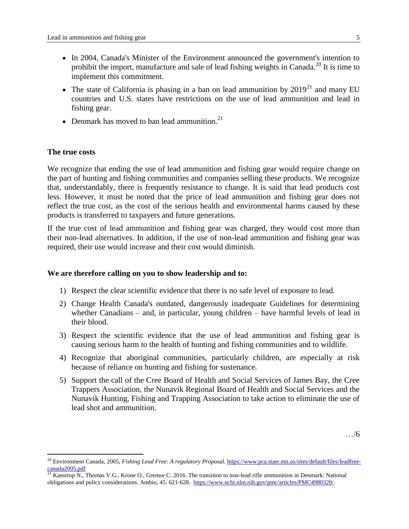- In 2004, Canada's Minister of the Environment announced the government's intention to prohibit the import, manufacture and sale of lead fishing weights in Canada.<sup>20</sup> It is time to implement this commitment.
- The state of California is phasing in a ban on lead ammunition by  $2019^{21}$  and many EU countries and U.S. states have restrictions on the use of lead ammunition and lead in fishing gear.
- Denmark has moved to ban lead ammunition.<sup>21</sup>

#### **The true costs**

 $\overline{a}$ 

We recognize that ending the use of lead ammunition and fishing gear would require change on the part of hunting and fishing communities and companies selling these products. We recognize that, understandably, there is frequently resistance to change. It is said that lead products cost less. However, it must be noted that the price of lead ammunition and fishing gear does not reflect the true cost, as the cost of the serious health and environmental harms caused by these products is transferred to taxpayers and future generations.

If the true cost of lead ammunition and fishing gear was charged, they would cost more than their non-lead alternatives. In addition, if the use of non-lead ammunition and fishing gear was required, their use would increase and their cost would diminish.

#### **We are therefore calling on you to show leadership and to:**

- 1) Respect the clear scientific evidence that there is no safe level of exposure to lead.
- 2) Change Health Canada's outdated, dangerously inadequate Guidelines for determining whether Canadians – and, in particular, young children – have harmful levels of lead in their blood.
- 3) Respect the scientific evidence that the use of lead ammunition and fishing gear is causing serious harm to the health of hunting and fishing communities and to wildlife.
- 4) Recognize that aboriginal communities, particularly children, are especially at risk because of reliance on hunting and fishing for sustenance.
- 5) Support the call of the Cree Board of Health and Social Services of James Bay, the Cree Trappers Association, the Nunavik Regional Board of Health and Social Services and the Nunavik Hunting, Fishing and Trapping Association to take action to eliminate the use of lead shot and ammunition.

…/6

<sup>20</sup> Environment Canada, 2005, *Fishing Lead Free: A regulatory Proposal.* [https://www.pca.state.mn.us/sites/default/files/leadfree](https://www.pca.state.mn.us/sites/default/files/leadfree-canada2005.pdf)[canada2005.pdf](https://www.pca.state.mn.us/sites/default/files/leadfree-canada2005.pdf)

<sup>&</sup>lt;sup>21</sup> Kanstrup N., Thomas V.G., Krone O., Gremse C. 2016. The transition to non-lead rifle ammunition in Denmark: National obligations and policy considerations. Ambio, 45: 621-628. [https://www.ncbi.nlm.nih.gov/pmc/articles/PMC4980320/.](https://www.ncbi.nlm.nih.gov/pmc/articles/PMC4980320/)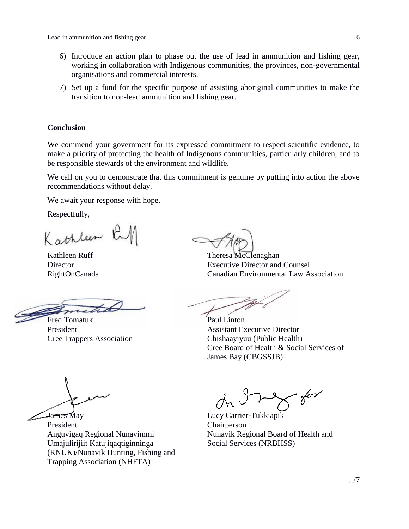- 6) Introduce an action plan to phase out the use of lead in ammunition and fishing gear, working in collaboration with Indigenous communities, the provinces, non-governmental organisations and commercial interests.
- 7) Set up a fund for the specific purpose of assisting aboriginal communities to make the transition to non-lead ammunition and fishing gear.

### **Conclusion**

We commend your government for its expressed commitment to respect scientific evidence, to make a priority of protecting the health of Indigenous communities, particularly children, and to be responsible stewards of the environment and wildlife.

We call on you to demonstrate that this commitment is genuine by putting into action the above recommendations without delay.

We await your response with hope.

Respectfully,

Kathleen RM

Kathleen Ruff **Director** RightOnCanada

Fred Tomatuk

President Cree Trappers Association

Theresa McClenaghan Executive Director and Counsel Canadian Environmental Law Association

Paul Linton Assistant Executive Director Chishaayiyuu (Public Health) Cree Board of Health & Social Services of James Bay (CBGSSJB)

James May

President Anguvigaq Regional Nunavimmi Umajulirijiit Katujiqaqtiginninga (RNUK)/Nunavik Hunting, Fishing and Trapping Association (NHFTA)

 $562$ 

Lucy Carrier-Tukkiapik Chairperson Nunavik Regional Board of Health and Social Services (NRBHSS)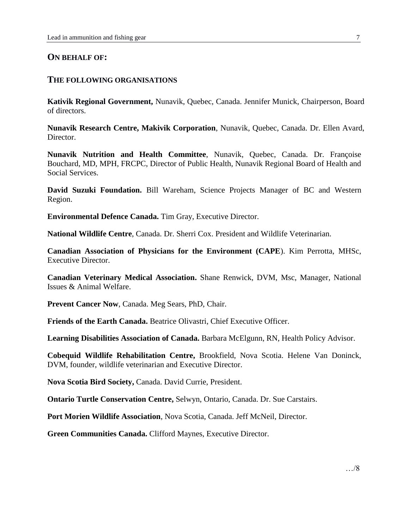## **ON BEHALF OF:**

## **THE FOLLOWING ORGANISATIONS**

**Kativik Regional Government,** Nunavik, Quebec, Canada. Jennifer Munick, Chairperson, Board of directors.

**Nunavik Research Centre, Makivik Corporation**, Nunavik, Quebec, Canada. Dr. Ellen Avard, Director.

**Nunavik Nutrition and Health Committee**, Nunavik, Quebec, Canada. Dr. Françoise Bouchard, MD, MPH, FRCPC, Director of Public Health, Nunavik Regional Board of Health and Social Services.

**David Suzuki Foundation.** Bill Wareham, Science Projects Manager of BC and Western Region.

**Environmental Defence Canada.** Tim Gray, Executive Director.

**National Wildlife Centre**, Canada. Dr. Sherri Cox. President and Wildlife Veterinarian.

**Canadian Association of Physicians for the Environment (CAPE**). Kim Perrotta, MHSc, Executive Director.

**Canadian Veterinary Medical Association.** Shane Renwick, DVM, Msc, Manager, National Issues & Animal Welfare.

**Prevent Cancer Now**, Canada. Meg Sears, PhD, Chair.

**Friends of the Earth Canada.** Beatrice Olivastri, Chief Executive Officer.

**Learning Disabilities Association of Canada.** Barbara McElgunn, RN, Health Policy Advisor.

**Cobequid Wildlife Rehabilitation Centre,** Brookfield, Nova Scotia. Helene Van Doninck, DVM, founder, wildlife veterinarian and Executive Director.

**Nova Scotia Bird Society,** Canada. David Currie, President.

**Ontario Turtle Conservation Centre,** Selwyn, Ontario, Canada. Dr. Sue Carstairs.

**Port Morien Wildlife Association**, Nova Scotia, Canada. Jeff McNeil, Director.

**Green Communities Canada.** Clifford Maynes, Executive Director.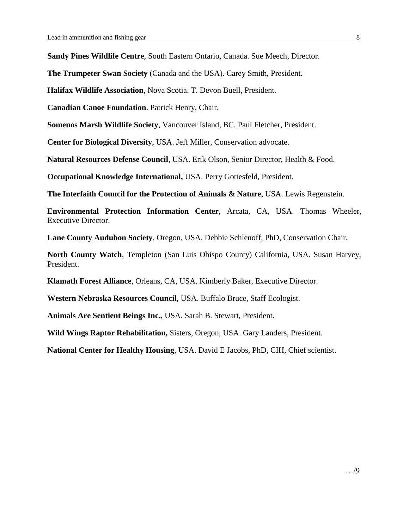**Sandy Pines Wildlife Centre**, South Eastern Ontario, Canada. Sue Meech, Director.

**The Trumpeter Swan Society** (Canada and the USA). Carey Smith, President.

**Halifax Wildlife Association**, Nova Scotia. T. Devon Buell, President.

**Canadian Canoe Foundation**. Patrick Henry, Chair.

**Somenos Marsh Wildlife Society**, Vancouver Island, BC. Paul Fletcher, President.

**Center for Biological Diversity**, USA. Jeff Miller, Conservation advocate.

**Natural Resources Defense Council**, USA. Erik Olson, Senior Director, Health & Food.

**Occupational Knowledge International,** USA. Perry Gottesfeld, President.

**The Interfaith Council for the Protection of Animals & Nature**, USA. Lewis Regenstein.

**Environmental Protection Information Center**, Arcata, CA, USA. Thomas Wheeler, Executive Director.

**Lane County Audubon Society**, Oregon, USA. Debbie Schlenoff, PhD, Conservation Chair.

**North County Watch**, Templeton (San Luis Obispo County) California, USA. Susan Harvey, President.

**Klamath Forest Alliance**, Orleans, CA, USA. Kimberly Baker, Executive Director.

**Western Nebraska Resources Council,** USA. Buffalo Bruce, Staff Ecologist.

**Animals Are Sentient Beings Inc.**, USA. Sarah B. Stewart, President.

**Wild Wings Raptor Rehabilitation,** Sisters, Oregon, USA. Gary Landers, President.

**National Center for Healthy Housing**, USA. David E Jacobs, PhD, CIH, Chief scientist.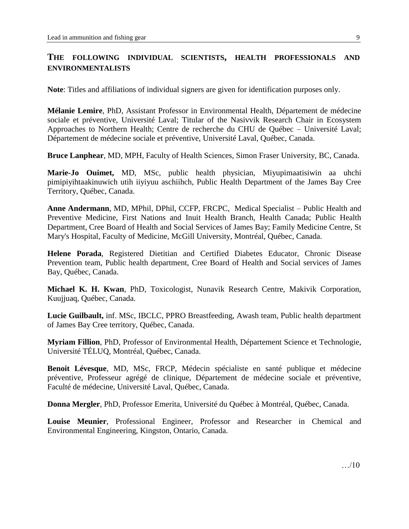# **THE FOLLOWING INDIVIDUAL SCIENTISTS, HEALTH PROFESSIONALS AND ENVIRONMENTALISTS**

**Note**: Titles and affiliations of individual signers are given for identification purposes only.

**Mélanie Lemire**, PhD, Assistant Professor in Environmental Health, Département de médecine sociale et préventive, Université Laval; Titular of the Nasivvik Research Chair in Ecosystem Approaches to Northern Health; Centre de recherche du CHU de Québec – Université Laval; Département de médecine sociale et préventive, Université Laval, Québec, Canada.

**Bruce Lanphear**, MD, MPH, Faculty of Health Sciences, Simon Fraser University, BC, Canada.

**Marie-Jo Ouimet,** MD, MSc, public health physician, Miyupimaatisiwin aa uhchi pimipiyihtaakinuwich utih iiyiyuu aschiihch, Public Health Department of the James Bay Cree Territory, Québec, Canada.

**Anne Andermann**, MD, MPhil, DPhil, CCFP, FRCPC, Medical Specialist – Public Health and Preventive Medicine, First Nations and Inuit Health Branch, Health Canada; Public Health Department, Cree Board of Health and Social Services of James Bay; Family Medicine Centre, St Mary's Hospital, Faculty of Medicine, McGill University, Montréal, Québec, Canada.

**Helene Porada**, Registered Dietitian and Certified Diabetes Educator, Chronic Disease Prevention team, Public health department, Cree Board of Health and Social services of James Bay, Québec, Canada.

**Michael K. H. Kwan**, PhD, Toxicologist, Nunavik Research Centre, Makivik Corporation, Kuujjuaq, Québec, Canada.

**Lucie Guilbault,** inf. MSc, IBCLC, PPRO Breastfeeding, Awash team, Public health department of James Bay Cree territory, Québec, Canada.

**Myriam Fillion**, PhD, Professor of Environmental Health, Département Science et Technologie, Université TÉLUQ, Montréal, Québec, Canada.

**Benoit Lévesque**, MD, MSc, FRCP, Médecin spécialiste en santé publique et médecine préventive, Professeur agrégé de clinique, Département de médecine sociale et préventive, Faculté de médecine, Université Laval, Québec, Canada.

**Donna Mergler**, PhD, Professor Emerita, Université du Québec à Montréal, Québec, Canada.

**Louise Meunier**, Professional Engineer, Professor and Researcher in Chemical and Environmental Engineering, Kingston, Ontario, Canada.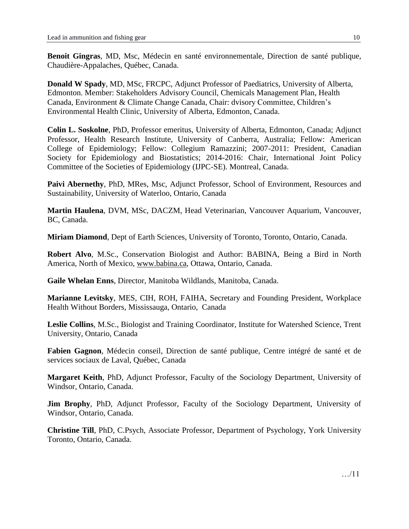**Benoit Gingras**, MD, Msc, Médecin en santé environnementale, Direction de santé publique, Chaudière-Appalaches, Québec, Canada.

**Donald W Spady**, MD, MSc, FRCPC, Adjunct Professor of Paediatrics, University of Alberta, Edmonton. Member: Stakeholders Advisory Council, Chemicals Management Plan, Health Canada, Environment & Climate Change Canada, Chair: dvisory Committee, Children's Environmental Health Clinic, University of Alberta, Edmonton, Canada.

**Colin L. Soskolne**, PhD, Professor emeritus, University of Alberta, Edmonton, Canada; Adjunct Professor, Health Research Institute, University of Canberra, Australia; Fellow: American College of Epidemiology; Fellow: Collegium Ramazzini; 2007-2011: President, Canadian Society for Epidemiology and Biostatistics; 2014-2016: Chair, International Joint Policy Committee of the Societies of Epidemiology (IJPC-SE). Montreal, Canada.

**Paivi Abernethy**, PhD, MRes, Msc, Adjunct Professor, School of Environment, Resources and Sustainability, University of Waterloo, Ontario, Canada

**Martin Haulena**, DVM, MSc, DACZM, Head Veterinarian, Vancouver Aquarium, Vancouver, BC, Canada.

**Miriam Diamond**, Dept of Earth Sciences, University of Toronto, Toronto, Ontario, Canada.

**Robert Alvo**, M.Sc., Conservation Biologist and Author: BABINA, Being a Bird in North America, North of Mexico, [www.babina.ca,](http://www.babina.ca/) Ottawa, Ontario, Canada.

**Gaile Whelan Enns**, Director, Manitoba Wildlands, Manitoba, Canada.

**Marianne Levitsky**, MES, CIH, ROH, FAIHA, Secretary and Founding President, Workplace Health Without Borders, Mississauga, Ontario, Canada

**Leslie Collins**, M.Sc., Biologist and Training Coordinator, Institute for Watershed Science, Trent University, Ontario, Canada

**Fabien Gagnon**, Médecin conseil, Direction de santé publique, Centre intégré de santé et de services sociaux de Laval, Québec, Canada

**Margaret Keith**, PhD, Adjunct Professor, Faculty of the Sociology Department, University of Windsor, Ontario, Canada.

**Jim Brophy**, PhD, Adjunct Professor, Faculty of the Sociology Department, University of Windsor, Ontario, Canada.

**Christine Till**, PhD, C.Psych, Associate Professor, Department of Psychology, York University Toronto, Ontario, Canada.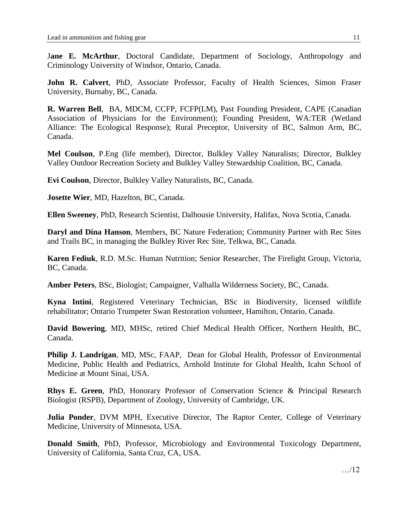Jane E. McArthur, Doctoral Candidate, Department of Sociology, Anthropology and Criminology University of Windsor, Ontario, Canada.

**John R. Calvert**, PhD, Associate Professor, Faculty of Health Sciences, Simon Fraser University, Burnaby, BC, Canada.

**R. Warren Bell**, BA, MDCM, CCFP, FCFP(LM), Past Founding President, CAPE (Canadian Association of Physicians for the Environment); Founding President, WA:TER (Wetland Alliance: The Ecological Response); Rural Preceptor, University of BC, Salmon Arm, BC, Canada.

**Mel Coulson**, P.Eng (life member), Director, Bulkley Valley Naturalists; Director, Bulkley Valley Outdoor Recreation Society and Bulkley Valley Stewardship Coalition, BC, Canada.

**Evi Coulson**, Director, Bulkley Valley Naturalists, BC, Canada.

**Josette Wier**, MD, Hazelton, BC, Canada.

**Ellen Sweeney**, PhD, Research Scientist, Dalhousie University, Halifax, Nova Scotia, Canada.

**Daryl and Dina Hanson**, Members, BC Nature Federation; Community Partner with Rec Sites and Trails BC, in managing the Bulkley River Rec Site, Telkwa, BC, Canada.

**Karen Fediuk**, R.D. M.Sc. Human Nutrition; Senior Researcher, The Firelight Group, Victoria, BC, Canada.

**Amber Peters**, BSc, Biologist; Campaigner, Valhalla Wilderness Society, BC, Canada.

**Kyna Intini**, Registered Veterinary Technician, BSc in Biodiversity, licensed wildlife rehabilitator; Ontario Trumpeter Swan Restoration volunteer, Hamilton, Ontario, Canada.

**David Bowering**, MD, MHSc, retired Chief Medical Health Officer, Northern Health, BC, Canada.

**Philip J. Landrigan**, MD, MSc, FAAP, Dean for Global Health, Professor of Environmental Medicine, Public Health and Pediatrics, Arnhold Institute for Global Health, Icahn School of Medicine at Mount Sinai, USA.

**Rhys E. Green**, PhD, Honorary Professor of Conservation Science & Principal Research Biologist (RSPB), Department of Zoology, University of Cambridge, UK.

**Julia Ponder**, DVM MPH, Executive Director, The Raptor Center, College of Veterinary Medicine, University of Minnesota, USA.

**Donald Smith**, PhD, Professor, Microbiology and Environmental Toxicology Department, University of California, Santa Cruz, CA, USA.

…/12